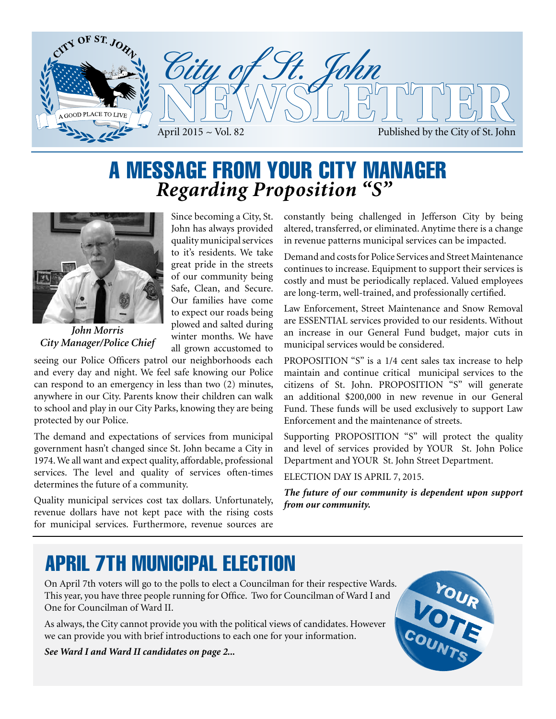

### A MESSAGE FROM YOUR CITY MANAGER *Regarding Proposition "S"*



*John Morris City Manager/Police Chief*

Since becoming a City, St. John has always provided quality municipal services to it's residents. We take great pride in the streets of our community being Safe, Clean, and Secure. Our families have come to expect our roads being plowed and salted during winter months. We have all grown accustomed to

seeing our Police Officers patrol our neighborhoods each and every day and night. We feel safe knowing our Police can respond to an emergency in less than two (2) minutes, anywhere in our City. Parents know their children can walk to school and play in our City Parks, knowing they are being protected by our Police.

The demand and expectations of services from municipal government hasn't changed since St. John became a City in 1974. We all want and expect quality, affordable, professional services. The level and quality of services often-times determines the future of a community.

Quality municipal services cost tax dollars. Unfortunately, revenue dollars have not kept pace with the rising costs for municipal services. Furthermore, revenue sources are constantly being challenged in Jefferson City by being altered, transferred, or eliminated. Anytime there is a change in revenue patterns municipal services can be impacted.

Demand and costs for Police Services and Street Maintenance continues to increase. Equipment to support their services is costly and must be periodically replaced. Valued employees are long-term, well-trained, and professionally certified.

Law Enforcement, Street Maintenance and Snow Removal are ESSENTIAL services provided to our residents. Without an increase in our General Fund budget, major cuts in municipal services would be considered.

PROPOSITION "S" is a 1/4 cent sales tax increase to help maintain and continue critical municipal services to the citizens of St. John. PROPOSITION "S" will generate an additional \$200,000 in new revenue in our General Fund. These funds will be used exclusively to support Law Enforcement and the maintenance of streets.

Supporting PROPOSITION "S" will protect the quality and level of services provided by YOUR St. John Police Department and YOUR St. John Street Department.

ELECTION DAY IS APRIL 7, 2015.

*The future of our community is dependent upon support from our community.* 

### APRIL 7TH MUNICIPAL ELECTION

On April 7th voters will go to the polls to elect a Councilman for their respective Wards. This year, you have three people running for Office. Two for Councilman of Ward I and One for Councilman of Ward II.

As always, the City cannot provide you with the political views of candidates. However we can provide you with brief introductions to each one for your information.

*See Ward I and Ward II candidates on page 2...*

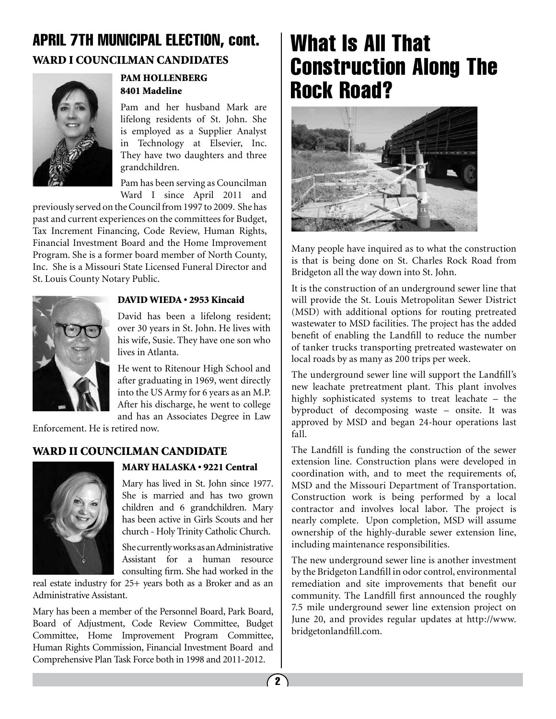#### WARD I COUNCILMAN CANDIDATES APRIL 7TH MUNICIPAL ELECTION, cont.



#### PAM HOLLENBERG 8401 Madeline

Pam and her husband Mark are lifelong residents of St. John. She is employed as a Supplier Analyst in Technology at Elsevier, Inc. They have two daughters and three grandchildren.

Pam has been serving as Councilman Ward I since April 2011 and

previously served on the Council from 1997 to 2009. She has past and current experiences on the committees for Budget, Tax Increment Financing, Code Review, Human Rights, Financial Investment Board and the Home Improvement Program. She is a former board member of North County, Inc. She is a Missouri State Licensed Funeral Director and St. Louis County Notary Public.



#### DAVID WIEDA • 2953 Kincaid

David has been a lifelong resident; over 30 years in St. John. He lives with his wife, Susie. They have one son who lives in Atlanta.

He went to Ritenour High School and after graduating in 1969, went directly into the US Army for 6 years as an M.P. After his discharge, he went to college and has an Associates Degree in Law

Enforcement. He is retired now.

#### WARD II COUNCILMAN CANDIDATE



#### MARY HALASKA • 9221 Central

Mary has lived in St. John since 1977. She is married and has two grown children and 6 grandchildren. Mary has been active in Girls Scouts and her church - Holy Trinity Catholic Church.

She currently works as an Administrative Assistant for a human resource consulting firm. She had worked in the

real estate industry for 25+ years both as a Broker and as an Administrative Assistant.

Mary has been a member of the Personnel Board, Park Board, Board of Adjustment, Code Review Committee, Budget Committee, Home Improvement Program Committee, Human Rights Commission, Financial Investment Board and Comprehensive Plan Task Force both in 1998 and 2011-2012.

### What Is All That Construction Along The Rock Road?



Many people have inquired as to what the construction is that is being done on St. Charles Rock Road from Bridgeton all the way down into St. John.

It is the construction of an underground sewer line that will provide the St. Louis Metropolitan Sewer District (MSD) with additional options for routing pretreated wastewater to MSD facilities. The project has the added benefit of enabling the Landfill to reduce the number of tanker trucks transporting pretreated wastewater on local roads by as many as 200 trips per week.

The underground sewer line will support the Landfill's new leachate pretreatment plant. This plant involves highly sophisticated systems to treat leachate – the byproduct of decomposing waste – onsite. It was approved by MSD and began 24-hour operations last fall.

The Landfill is funding the construction of the sewer extension line. Construction plans were developed in coordination with, and to meet the requirements of, MSD and the Missouri Department of Transportation. Construction work is being performed by a local contractor and involves local labor. The project is nearly complete. Upon completion, MSD will assume ownership of the highly-durable sewer extension line, including maintenance responsibilities.

The new underground sewer line is another investment by the Bridgeton Landfill in odor control, environmental remediation and site improvements that benefit our community. The Landfill first announced the roughly 7.5 mile underground sewer line extension project on June 20, and provides regular updates at http://www. bridgetonlandfill.com.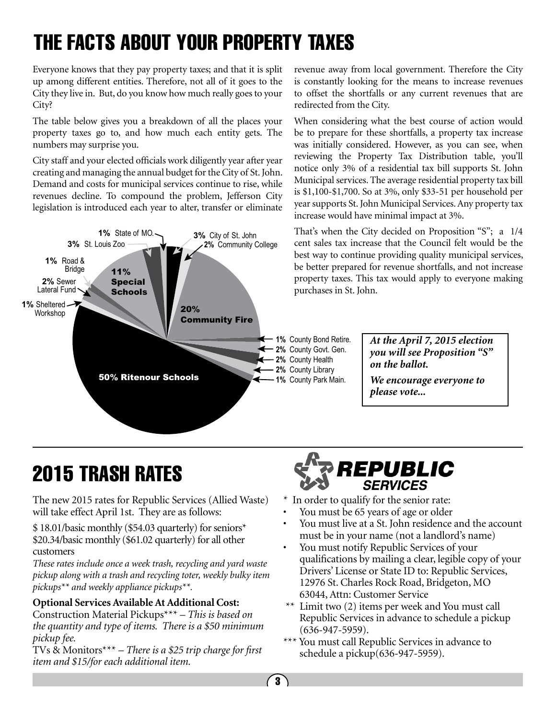# THE FACTS ABOUT YOUR PROPERTY TAXES

Everyone knows that they pay property taxes; and that it is split up among different entities. Therefore, not all of it goes to the City they live in. But, do you know how much really goes to your City?

The table below gives you a breakdown of all the places your property taxes go to, and how much each entity gets. The numbers may surprise you.

City staff and your elected officials work diligently year after year creating and managing the annual budget for the City of St. John. Demand and costs for municipal services continue to rise, while revenues decline. To compound the problem, Jefferson City legislation is introduced each year to alter, transfer or eliminate



revenue away from local government. Therefore the City is constantly looking for the means to increase revenues to offset the shortfalls or any current revenues that are redirected from the City.

When considering what the best course of action would be to prepare for these shortfalls, a property tax increase was initially considered. However, as you can see, when reviewing the Property Tax Distribution table, you'll notice only 3% of a residential tax bill supports St. John Municipal services. The average residential property tax bill is \$1,100-\$1,700. So at 3%, only \$33-51 per household per year supports St. John Municipal Services. Any property tax increase would have minimal impact at 3%.

That's when the City decided on Proposition "S"; a 1/4 cent sales tax increase that the Council felt would be the best way to continue providing quality municipal services, be better prepared for revenue shortfalls, and not increase property taxes. This tax would apply to everyone making purchases in St. John.

> *At the April 7, 2015 election you will see Proposition "S" on the ballot.*

*We encourage everyone to please vote...*

# 2015 TRASH RATES

The new 2015 rates for Republic Services (Allied Waste) will take effect April 1st. They are as follows:

\$ 18.01/basic monthly (\$54.03 quarterly) for seniors\* \$20.34/basic monthly (\$61.02 quarterly) for all other customers

*These rates include once a week trash, recycling and yard waste pickup along with a trash and recycling toter, weekly bulky item pickups\*\* and weekly appliance pickups\*\*.*

#### **Optional Services Available At Additional Cost:**

Construction Material Pickups\*\*\* – *This is based on the quantity and type of items. There is a \$50 minimum pickup fee.*

TVs & Monitors\*\*\* – *There is a \$25 trip charge for first item and \$15/for each additional item.* 



- \* In order to qualify for the senior rate:
- You must be 65 years of age or older
- You must live at a St. John residence and the account must be in your name (not a landlord's name)
- You must notify Republic Services of your qualifications by mailing a clear, legible copy of your Drivers' License or State ID to: Republic Services, 12976 St. Charles Rock Road, Bridgeton, MO 63044, Attn: Customer Service
- \*\* Limit two (2) items per week and You must call Republic Services in advance to schedule a pickup (636-947-5959).
- \*\*\* You must call Republic Services in advance to schedule a pickup(636-947-5959).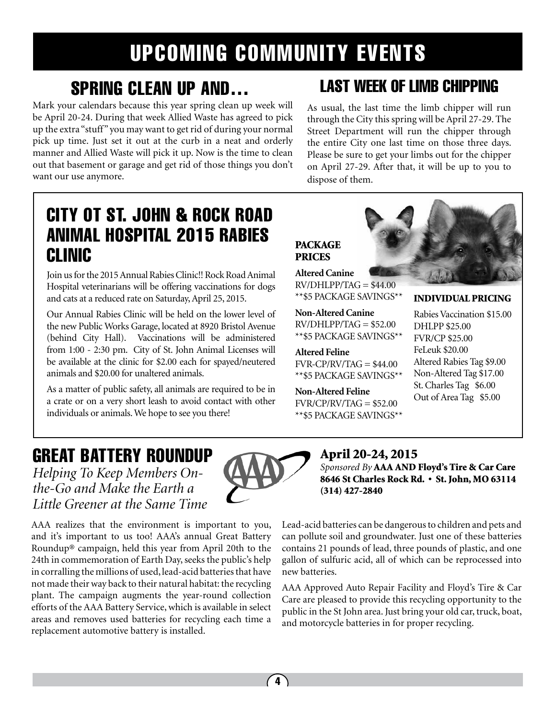# UPCOMING COMMUNITY EVENTS

**PACKAGE** PRICES

**Altered Canine**

**Altered Feline**

**Non-Altered Feline**

 $FVR/CP/RV/TAG = $52.00$ \*\*\$5 PACKAGE SAVINGS\*\*

\*\*\$5 PACKAGE SAVINGS\*\*

**Non-Altered Canine**  $RV/DHLPP/TAG = $52.00$ 

### SPRING CLEAN UP AND…

Mark your calendars because this year spring clean up week will be April 20-24. During that week Allied Waste has agreed to pick up the extra "stuff" you may want to get rid of during your normal pick up time. Just set it out at the curb in a neat and orderly manner and Allied Waste will pick it up. Now is the time to clean out that basement or garage and get rid of those things you don't want our use anymore.

### LAST WEEK OF LIMB CHIPPING

As usual, the last time the limb chipper will run through the City this spring will be April 27-29. The Street Department will run the chipper through the entire City one last time on those three days. Please be sure to get your limbs out for the chipper on April 27-29. After that, it will be up to you to dispose of them.

### CITY OT ST. JOHN & ROCK ROAD ANIMAL HOSPITAL 2015 RABIES CLINIC

Join us for the 2015 Annual Rabies Clinic!! Rock Road Animal Hospital veterinarians will be offering vaccinations for dogs and cats at a reduced rate on Saturday, April 25, 2015.

Our Annual Rabies Clinic will be held on the lower level of the new Public Works Garage, located at 8920 Bristol Avenue (behind City Hall). Vaccinations will be administered from 1:00 - 2:30 pm. City of St. John Animal Licenses will be available at the clinic for \$2.00 each for spayed/neutered animals and \$20.00 for unaltered animals.

As a matter of public safety, all animals are required to be in a crate or on a very short leash to avoid contact with other individuals or animals. We hope to see you there!



#### INDIVIDUAL PRICING

Rabies Vaccination \$15.00 DHLPP \$25.00 FVR/CP \$25.00 FeLeuk \$20.00 Altered Rabies Tag \$9.00 Non-Altered Tag \$17.00 St. Charles Tag \$6.00 \*\*\$5 PACKAGE SAVINGS\*\*  $FVR-CP/RV/TAG = $44.00$ \*\*\$5 PACKAGE SAVINGS\*\*

Out of Area Tag \$5.00

### GREAT BATTERY ROUNDUP

*Helping To Keep Members Onthe-Go and Make the Earth a Little Greener at the Same Time*

AAA realizes that the environment is important to you, and it's important to us too! AAA's annual Great Battery Roundup® campaign, held this year from April 20th to the 24th in commemoration of Earth Day, seeks the public's help in corralling the millions of used, lead-acid batteries that have not made their way back to their natural habitat: the recycling plant. The campaign augments the year-round collection efforts of the AAA Battery Service, which is available in select areas and removes used batteries for recycling each time a replacement automotive battery is installed.



April 20-24, 2015

*Sponsored By* AAA AND Floyd's Tire & Car Care 8646 St Charles Rock Rd. • St. John, MO 63114 (314) 427-2840

Lead-acid batteries can be dangerous to children and pets and can pollute soil and groundwater. Just one of these batteries contains 21 pounds of lead, three pounds of plastic, and one gallon of sulfuric acid, all of which can be reprocessed into new batteries.

AAA Approved Auto Repair Facility and Floyd's Tire & Car Care are pleased to provide this recycling opportunity to the public in the St John area. Just bring your old car, truck, boat, and motorcycle batteries in for proper recycling.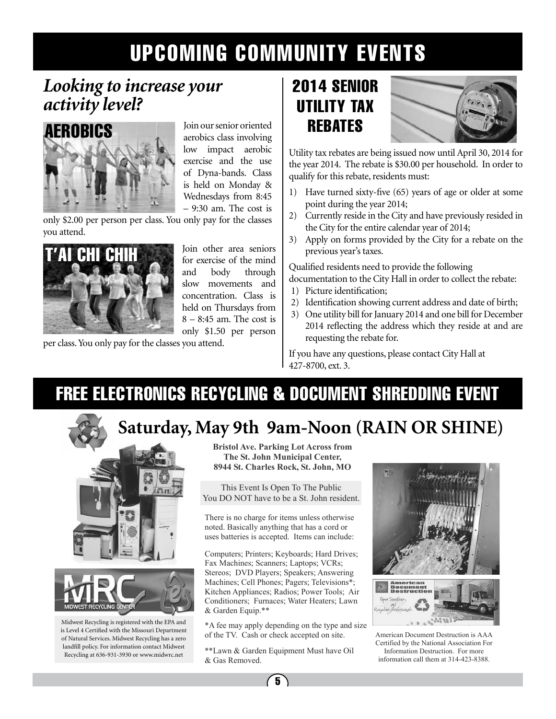# UPCOMING COMMUNITY EVENTS

### *Looking to increase your activity level?*



Join our senior oriented aerobics class involving low impact aerobic exercise and the use of Dyna-bands. Class is held on Monday & Wednesdays from 8:45 – 9:30 am. The cost is

only \$2.00 per person per class. You only pay for the classes you attend.



and body through slow movements and concentration. Class is held on Thursdays from 8 – 8:45 am. The cost is only \$1.50 per person

per class. You only pay for the classes you attend.

### 2014 SENIOR UTILITY TAX REBATES



Utility tax rebates are being issued now until April 30, 2014 for the year 2014. The rebate is \$30.00 per household. In order to qualify for this rebate, residents must:

- 1) Have turned sixty-five (65) years of age or older at some point during the year 2014;
- 2) Currently reside in the City and have previously resided in the City for the entire calendar year of 2014;
- 3) Apply on forms provided by the City for a rebate on the previous year's taxes.

Qualified residents need to provide the following documentation to the City Hall in order to collect the rebate:

- 1) Picture identification;
- 2) Identification showing current address and date of birth;
- 3) One utility bill for January 2014 and one bill for December 2014 reflecting the address which they reside at and are requesting the rebate for.

If you have any questions, please contact City Hall at 427-8700, ext. 3.

### FREE ELECTRONICS RECYCLING & DOCUMENT SHREDDING EVENT

### **Saturday, May 9th 9am-Noon (RAIN OR SHINE)**



Midwest Recycling is registered with the EPA and is Level 4 Certified with the Missouri Department of Natural Services. Midwest Recycling has a zero landfill policy. For information contact Midwest Recycling at 636-931-3930 or www.midwrc.net

**Bristol Ave. Parking Lot Across from The St. John Municipal Center, 8944 St. Charles Rock, St. John, MO** 

This Event Is Open To The Public You DO NOT have to be a St. John resident.

There is no charge for items unless otherwise noted. Basically anything that has a cord or uses batteries is accepted. Items can include:

Computers; Printers; Keyboards; Hard Drives; Fax Machines; Scanners; Laptops; VCRs; Stereos; DVD Players; Speakers; Answering Machines; Cell Phones; Pagers; Televisions\*; Kitchen Appliances; Radios; Power Tools; Air Conditioners; Furnaces; Water Heaters; Lawn & Garden Equip.\*\*

\*A fee may apply depending on the type and size of the TV. Cash or check accepted on site.

\*\*Lawn & Garden Equipment Must have Oil & Gas Removed.



American Document Destruction is AAA Certified by the National Association For Information Destruction. For more information call them at 314-423-8388.

 $\sqrt{5}$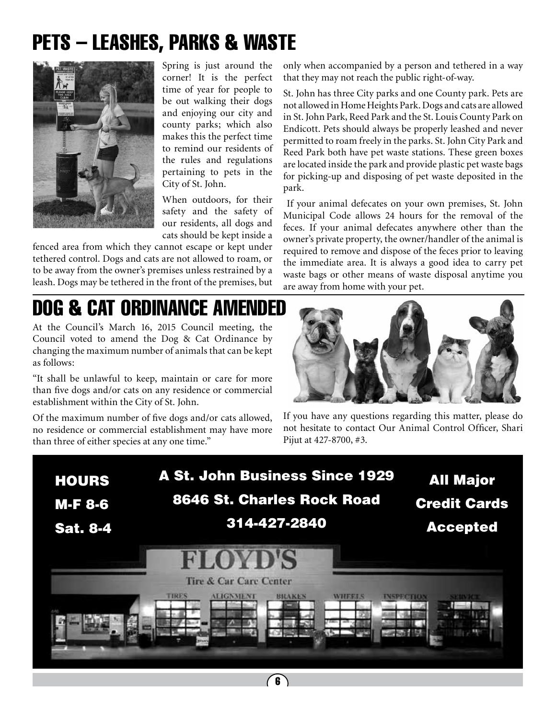# PETS – LEASHES, PARKS & WASTE



Spring is just around the corner! It is the perfect time of year for people to be out walking their dogs and enjoying our city and county parks; which also makes this the perfect time to remind our residents of the rules and regulations pertaining to pets in the City of St. John.

When outdoors, for their safety and the safety of our residents, all dogs and cats should be kept inside a

fenced area from which they cannot escape or kept under tethered control. Dogs and cats are not allowed to roam, or to be away from the owner's premises unless restrained by a leash. Dogs may be tethered in the front of the premises, but

# DOG & CAT ORDINANCE AMENDED

At the Council's March 16, 2015 Council meeting, the Council voted to amend the Dog & Cat Ordinance by changing the maximum number of animals that can be kept as follows:

"It shall be unlawful to keep, maintain or care for more than five dogs and/or cats on any residence or commercial establishment within the City of St. John.

Of the maximum number of five dogs and/or cats allowed, no residence or commercial establishment may have more than three of either species at any one time."

only when accompanied by a person and tethered in a way that they may not reach the public right-of-way.

St. John has three City parks and one County park. Pets are not allowed in Home Heights Park. Dogs and cats are allowed in St. John Park, Reed Park and the St. Louis County Park on Endicott. Pets should always be properly leashed and never permitted to roam freely in the parks. St. John City Park and Reed Park both have pet waste stations. These green boxes are located inside the park and provide plastic pet waste bags for picking-up and disposing of pet waste deposited in the park.

 If your animal defecates on your own premises, St. John Municipal Code allows 24 hours for the removal of the feces. If your animal defecates anywhere other than the owner's private property, the owner/handler of the animal is required to remove and dispose of the feces prior to leaving the immediate area. It is always a good idea to carry pet waste bags or other means of waste disposal anytime you are away from home with your pet.



If you have any questions regarding this matter, please do not hesitate to contact Our Animal Control Officer, Shari Pijut at 427-8700, #3.

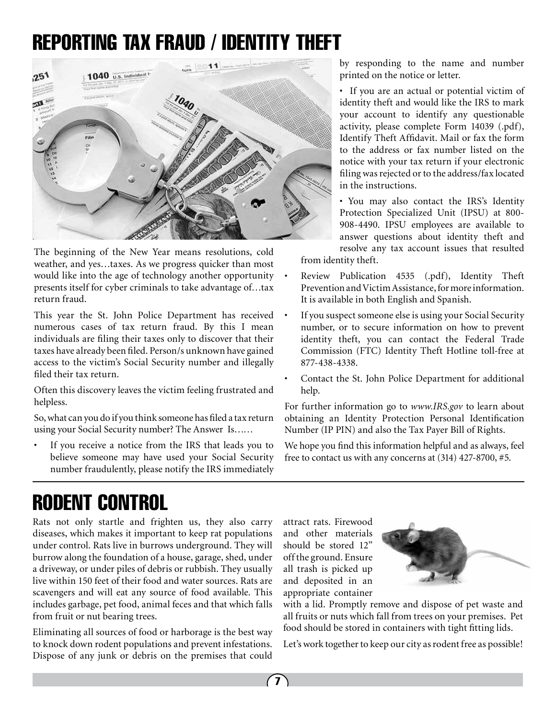## REPORTING TAX FRAUD / IDENTITY THEFT



The beginning of the New Year means resolutions, cold weather, and yes…taxes. As we progress quicker than most would like into the age of technology another opportunity presents itself for cyber criminals to take advantage of…tax return fraud.

This year the St. John Police Department has received numerous cases of tax return fraud. By this I mean individuals are filing their taxes only to discover that their taxes have already been filed. Person/s unknown have gained access to the victim's Social Security number and illegally filed their tax return.

Often this discovery leaves the victim feeling frustrated and helpless.

So, what can you do if you think someone has filed a tax return using your Social Security number? The Answer Is……

If you receive a notice from the IRS that leads you to believe someone may have used your Social Security number fraudulently, please notify the IRS immediately by responding to the name and number printed on the notice or letter.

• If you are an actual or potential victim of identity theft and would like the IRS to mark your account to identify any questionable activity, please complete Form 14039 (.pdf), Identify Theft Affidavit. Mail or fax the form to the address or fax number listed on the notice with your tax return if your electronic filing was rejected or to the address/fax located in the instructions.

• You may also contact the IRS's Identity Protection Specialized Unit (IPSU) at 800- 908-4490. IPSU employees are available to answer questions about identity theft and resolve any tax account issues that resulted from identity theft.

• Review Publication 4535 (.pdf), Identity Theft Prevention and Victim Assistance, for more information. It is available in both English and Spanish.

- If you suspect someone else is using your Social Security number, or to secure information on how to prevent identity theft, you can contact the Federal Trade Commission (FTC) Identity Theft Hotline toll-free at 877-438-4338.
- Contact the St. John Police Department for additional help.

For further information go to *www.IRS.gov* to learn about obtaining an Identity Protection Personal Identification Number (IP PIN) and also the Tax Payer Bill of Rights.

We hope you find this information helpful and as always, feel free to contact us with any concerns at (314) 427-8700, #5.

# RODENT CONTROL

Rats not only startle and frighten us, they also carry diseases, which makes it important to keep rat populations under control. Rats live in burrows underground. They will burrow along the foundation of a house, garage, shed, under a driveway, or under piles of debris or rubbish. They usually live within 150 feet of their food and water sources. Rats are scavengers and will eat any source of food available. This includes garbage, pet food, animal feces and that which falls from fruit or nut bearing trees.

Eliminating all sources of food or harborage is the best way to knock down rodent populations and prevent infestations. Dispose of any junk or debris on the premises that could

attract rats. Firewood and other materials should be stored 12" off the ground. Ensure all trash is picked up and deposited in an appropriate container



with a lid. Promptly remove and dispose of pet waste and all fruits or nuts which fall from trees on your premises. Pet food should be stored in containers with tight fitting lids.

Let's work together to keep our city as rodent free as possible!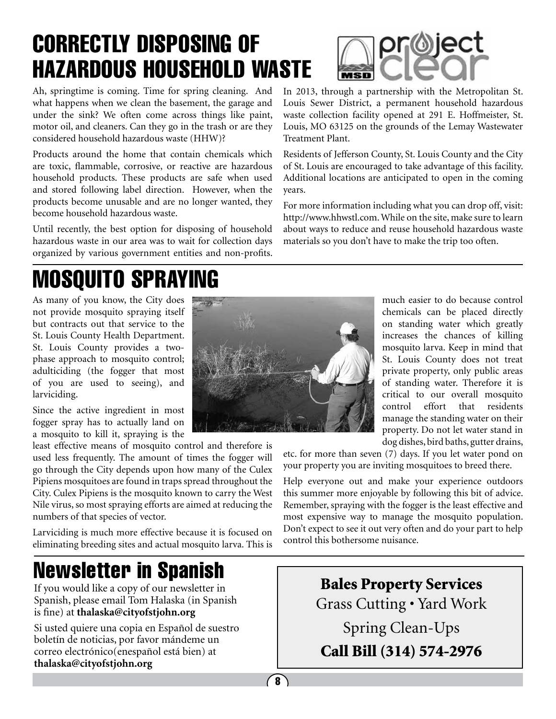# CORRECTLY DISPOSING OF HAZARDOUS HOUSEHOLD WASTE

Ah, springtime is coming. Time for spring cleaning. And what happens when we clean the basement, the garage and under the sink? We often come across things like paint, motor oil, and cleaners. Can they go in the trash or are they considered household hazardous waste (HHW)?

Products around the home that contain chemicals which are toxic, flammable, corrosive, or reactive are hazardous household products. These products are safe when used and stored following label direction. However, when the products become unusable and are no longer wanted, they become household hazardous waste.

Until recently, the best option for disposing of household hazardous waste in our area was to wait for collection days organized by various government entities and non-profits.

# MOSQUITO SPRAYING

As many of you know, the City does not provide mosquito spraying itself but contracts out that service to the St. Louis County Health Department. St. Louis County provides a twophase approach to mosquito control; adulticiding (the fogger that most of you are used to seeing), and larviciding.

Since the active ingredient in most fogger spray has to actually land on a mosquito to kill it, spraying is the

least effective means of mosquito control and therefore is used less frequently. The amount of times the fogger will go through the City depends upon how many of the Culex Pipiens mosquitoes are found in traps spread throughout the City. Culex Pipiens is the mosquito known to carry the West Nile virus, so most spraying efforts are aimed at reducing the numbers of that species of vector.

Larviciding is much more effective because it is focused on eliminating breeding sites and actual mosquito larva. This is

# Newsletter in Spanish

If you would like a copy of our newsletter in Spanish, please email Tom Halaska (in Spanish is fine) at **thalaska@cityofstjohn.org**

Si usted quiere una copia en Español de suestro boletín de noticias, por favor mándeme un correo electrónico(enespañol está bien) at **thalaska@cityofstjohn.org**





Louis Sewer District, a permanent household hazardous waste collection facility opened at 291 E. Hoffmeister, St. Louis, MO 63125 on the grounds of the Lemay Wastewater Treatment Plant.

Residents of Jefferson County, St. Louis County and the City of St. Louis are encouraged to take advantage of this facility. Additional locations are anticipated to open in the coming years.

For more information including what you can drop off, visit: http://www.hhwstl.com. While on the site, make sure to learn about ways to reduce and reuse household hazardous waste materials so you don't have to make the trip too often.

> much easier to do because control chemicals can be placed directly on standing water which greatly increases the chances of killing mosquito larva. Keep in mind that St. Louis County does not treat private property, only public areas of standing water. Therefore it is critical to our overall mosquito control effort that residents manage the standing water on their property. Do not let water stand in dog dishes, bird baths, gutter drains,

etc. for more than seven (7) days. If you let water pond on your property you are inviting mosquitoes to breed there.

Help everyone out and make your experience outdoors this summer more enjoyable by following this bit of advice. Remember, spraying with the fogger is the least effective and most expensive way to manage the mosquito population. Don't expect to see it out very often and do your part to help control this bothersome nuisance.

> Bales Property Services Grass Cutting • Yard Work Spring Clean-Ups Call Bill (314) 574-2976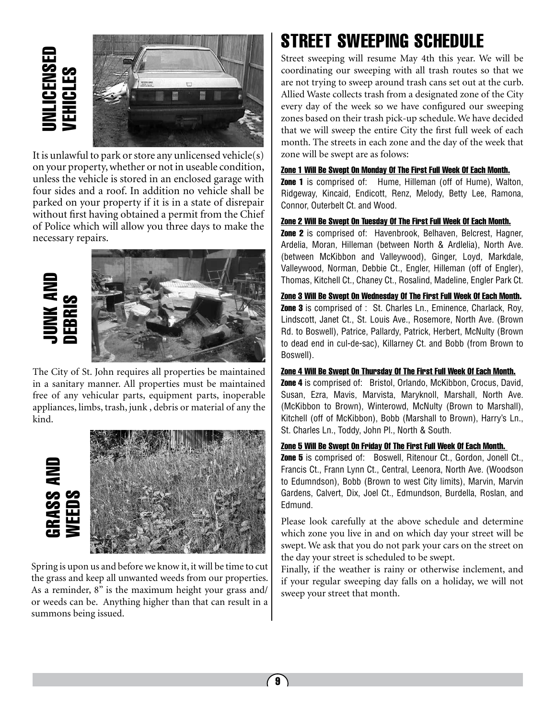

It is unlawful to park or store any unlicensed vehicle(s) on your property, whether or not in useable condition, unless the vehicle is stored in an enclosed garage with four sides and a roof. In addition no vehicle shall be parked on your property if it is in a state of disrepair without first having obtained a permit from the Chief of Police which will allow you three days to make the necessary repairs.



The City of St. John requires all properties be maintained in a sanitary manner. All properties must be maintained free of any vehicular parts, equipment parts, inoperable appliances, limbs, trash, junk , debris or material of any the kind.



Spring is upon us and before we know it, it will be time to cut the grass and keep all unwanted weeds from our properties. As a reminder, 8" is the maximum height your grass and/ or weeds can be. Anything higher than that can result in a summons being issued.

### STREET SWEEPING SCHEDULE

Street sweeping will resume May 4th this year. We will be coordinating our sweeping with all trash routes so that we are not trying to sweep around trash cans set out at the curb. Allied Waste collects trash from a designated zone of the City every day of the week so we have configured our sweeping zones based on their trash pick-up schedule. We have decided that we will sweep the entire City the first full week of each month. The streets in each zone and the day of the week that zone will be swept are as folows:

#### Zone 1 Will Be Swept On Monday Of The First Full Week Of Each Month.

**Zone 1** is comprised of: Hume, Hilleman (off of Hume), Walton, Ridgeway, Kincaid, Endicott, Renz, Melody, Betty Lee, Ramona, Connor, Outerbelt Ct. and Wood.

#### Zone 2 Will Be Swept On Tuesday Of The First Full Week Of Each Month.

Zone 2 is comprised of: Havenbrook, Belhaven, Belcrest, Hagner, Ardelia, Moran, Hilleman (between North & Ardlelia), North Ave. (between McKibbon and Valleywood), Ginger, Loyd, Markdale, Valleywood, Norman, Debbie Ct., Engler, Hilleman (off of Engler), Thomas, Kitchell Ct., Chaney Ct., Rosalind, Madeline, Engler Park Ct.

Zone 3 Will Be Swept On Wednesday Of The First Full Week Of Each Month. **Zone 3** is comprised of : St. Charles Ln., Eminence, Charlack, Roy,

Lindscott, Janet Ct., St. Louis Ave., Rosemore, North Ave. (Brown Rd. to Boswell), Patrice, Pallardy, Patrick, Herbert, McNulty (Brown to dead end in cul-de-sac), Killarney Ct. and Bobb (from Brown to Boswell).

#### Zone 4 Will Be Swept On Thursday Of The First Full Week Of Each Month.

**Zone 4** is comprised of: Bristol, Orlando, McKibbon, Crocus, David, Susan, Ezra, Mavis, Marvista, Maryknoll, Marshall, North Ave. (McKibbon to Brown), Winterowd, McNulty (Brown to Marshall), Kitchell (off of McKibbon), Bobb (Marshall to Brown), Harry's Ln., St. Charles Ln., Toddy, John Pl., North & South.

#### Zone 5 Will Be Swept On Friday Of The First Full Week Of Each Month.

**Zone 5** is comprised of: Boswell, Ritenour Ct., Gordon, Jonell Ct., Francis Ct., Frann Lynn Ct., Central, Leenora, North Ave. (Woodson to Edumndson), Bobb (Brown to west City limits), Marvin, Marvin Gardens, Calvert, Dix, Joel Ct., Edmundson, Burdella, Roslan, and Edmund.

Please look carefully at the above schedule and determine which zone you live in and on which day your street will be swept. We ask that you do not park your cars on the street on the day your street is scheduled to be swept.

Finally, if the weather is rainy or otherwise inclement, and if your regular sweeping day falls on a holiday, we will not sweep your street that month.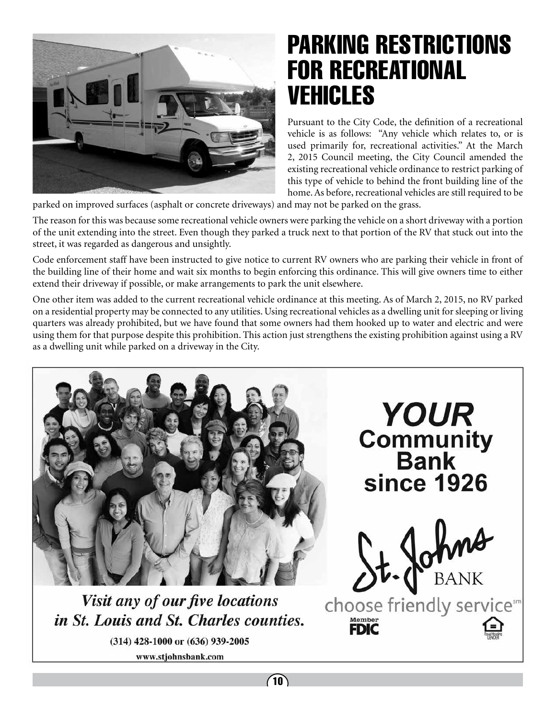

# PARKING RESTRICTIONS FOR RECREATIONAL VEHICLES

Pursuant to the City Code, the definition of a recreational vehicle is as follows: "Any vehicle which relates to, or is used primarily for, recreational activities." At the March 2, 2015 Council meeting, the City Council amended the existing recreational vehicle ordinance to restrict parking of this type of vehicle to behind the front building line of the home. As before, recreational vehicles are still required to be

parked on improved surfaces (asphalt or concrete driveways) and may not be parked on the grass.

The reason for this was because some recreational vehicle owners were parking the vehicle on a short driveway with a portion of the unit extending into the street. Even though they parked a truck next to that portion of the RV that stuck out into the street, it was regarded as dangerous and unsightly.

Code enforcement staff have been instructed to give notice to current RV owners who are parking their vehicle in front of the building line of their home and wait six months to begin enforcing this ordinance. This will give owners time to either extend their driveway if possible, or make arrangements to park the unit elsewhere.

One other item was added to the current recreational vehicle ordinance at this meeting. As of March 2, 2015, no RV parked on a residential property may be connected to any utilities. Using recreational vehicles as a dwelling unit for sleeping or living quarters was already prohibited, but we have found that some owners had them hooked up to water and electric and were using them for that purpose despite this prohibition. This action just strengthens the existing prohibition against using a RV as a dwelling unit while parked on a driveway in the City.

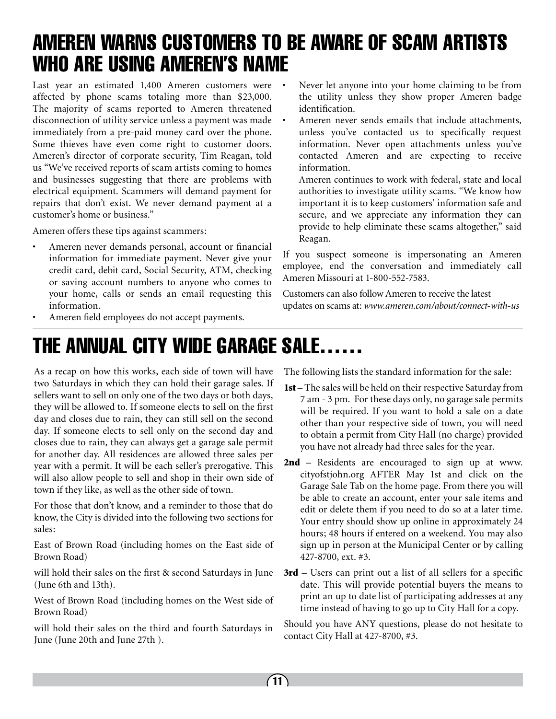### AMEREN WARNS CUSTOMERS TO BE AWARE OF SCAM ARTISTS WHO ARE USING AMEREN'S NAME

Last year an estimated 1,400 Ameren customers were affected by phone scams totaling more than \$23,000. The majority of scams reported to Ameren threatened disconnection of utility service unless a payment was made immediately from a pre-paid money card over the phone. Some thieves have even come right to customer doors. Ameren's director of corporate security, Tim Reagan, told us "We've received reports of scam artists coming to homes and businesses suggesting that there are problems with electrical equipment. Scammers will demand payment for repairs that don't exist. We never demand payment at a customer's home or business."

Ameren offers these tips against scammers:

Ameren never demands personal, account or financial information for immediate payment. Never give your credit card, debit card, Social Security, ATM, checking or saving account numbers to anyone who comes to your home, calls or sends an email requesting this information.

- Never let anyone into your home claiming to be from the utility unless they show proper Ameren badge identification.
- Ameren never sends emails that include attachments, unless you've contacted us to specifically request information. Never open attachments unless you've contacted Ameren and are expecting to receive information.

Ameren continues to work with federal, state and local authorities to investigate utility scams. "We know how important it is to keep customers' information safe and secure, and we appreciate any information they can provide to help eliminate these scams altogether," said Reagan.

If you suspect someone is impersonating an Ameren employee, end the conversation and immediately call Ameren Missouri at 1-800-552-7583.

Customers can also follow Ameren to receive the latest updates on scams at: *www.ameren.com/about/connect-with-us*

Ameren field employees do not accept payments.

# THE ANNUAL CITY WIDE GARAGE SALE……

As a recap on how this works, each side of town will have two Saturdays in which they can hold their garage sales. If sellers want to sell on only one of the two days or both days, they will be allowed to. If someone elects to sell on the first day and closes due to rain, they can still sell on the second day. If someone elects to sell only on the second day and closes due to rain, they can always get a garage sale permit for another day. All residences are allowed three sales per year with a permit. It will be each seller's prerogative. This will also allow people to sell and shop in their own side of town if they like, as well as the other side of town.

For those that don't know, and a reminder to those that do know, the City is divided into the following two sections for sales:

East of Brown Road (including homes on the East side of Brown Road)

will hold their sales on the first & second Saturdays in June (June 6th and 13th).

West of Brown Road (including homes on the West side of Brown Road)

will hold their sales on the third and fourth Saturdays in June (June 20th and June 27th ).

The following lists the standard information for the sale:

- 1st The sales will be held on their respective Saturday from 7 am - 3 pm. For these days only, no garage sale permits will be required. If you want to hold a sale on a date other than your respective side of town, you will need to obtain a permit from City Hall (no charge) provided you have not already had three sales for the year.
- 2nd Residents are encouraged to sign up at www. cityofstjohn.org AFTER May 1st and click on the Garage Sale Tab on the home page. From there you will be able to create an account, enter your sale items and edit or delete them if you need to do so at a later time. Your entry should show up online in approximately 24 hours; 48 hours if entered on a weekend. You may also sign up in person at the Municipal Center or by calling 427-8700, ext. #3.
- 3rd Users can print out a list of all sellers for a specific date. This will provide potential buyers the means to print an up to date list of participating addresses at any time instead of having to go up to City Hall for a copy.

Should you have ANY questions, please do not hesitate to contact City Hall at 427-8700, #3.